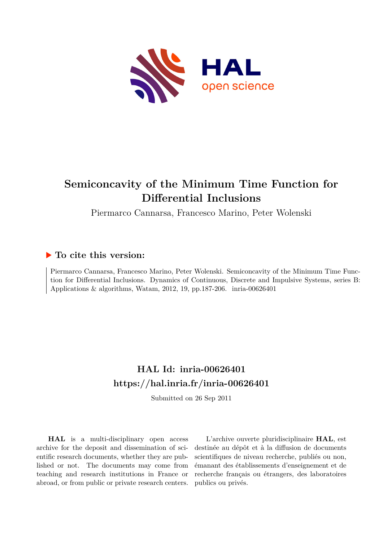

# **Semiconcavity of the Minimum Time Function for Differential Inclusions**

Piermarco Cannarsa, Francesco Marino, Peter Wolenski

## **To cite this version:**

Piermarco Cannarsa, Francesco Marino, Peter Wolenski. Semiconcavity of the Minimum Time Function for Differential Inclusions. Dynamics of Continuous, Discrete and Impulsive Systems, series B: Applications & algorithms, Watam, 2012, 19, pp.187-206. inria-00626401

## **HAL Id: inria-00626401 <https://hal.inria.fr/inria-00626401>**

Submitted on 26 Sep 2011

**HAL** is a multi-disciplinary open access archive for the deposit and dissemination of scientific research documents, whether they are published or not. The documents may come from teaching and research institutions in France or abroad, or from public or private research centers.

L'archive ouverte pluridisciplinaire **HAL**, est destinée au dépôt et à la diffusion de documents scientifiques de niveau recherche, publiés ou non, émanant des établissements d'enseignement et de recherche français ou étrangers, des laboratoires publics ou privés.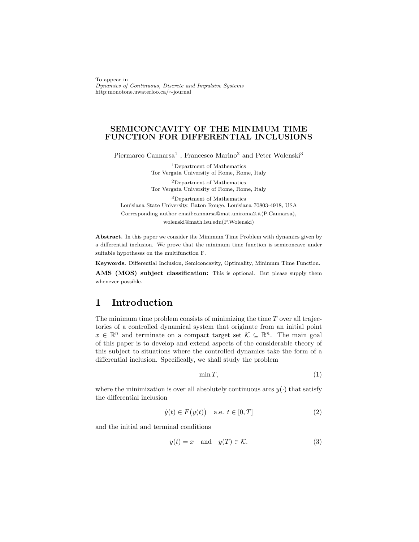To appear in Dynamics of Continuous, Discrete and Impulsive Systems http:monotone.uwaterloo.ca/∼journal

#### SEMICONCAVITY OF THE MINIMUM TIME FUNCTION FOR DIFFERENTIAL INCLUSIONS

Piermarco Cannarsa<sup>1</sup>, Francesco Marino<sup>2</sup> and Peter Wolenski<sup>3</sup>

<sup>1</sup>Department of Mathematics Tor Vergata University of Rome, Rome, Italy <sup>2</sup>Department of Mathematics Tor Vergata University of Rome, Rome, Italy

<sup>3</sup>Department of Mathematics Louisiana State University, Baton Rouge, Louisiana 70803-4918, USA Corresponding author email:cannarsa@mat.uniroma2.it(P.Cannarsa), wolenski@math.lsu.edu(P.Wolenski)

Abstract. In this paper we consider the Minimum Time Problem with dynamics given by a differential inclusion. We prove that the minimum time function is semiconcave under suitable hypotheses on the multifunction F.

Keywords. Differential Inclusion, Semiconcavity, Optimality, Minimum Time Function.

AMS (MOS) subject classification: This is optional. But please supply them whenever possible.

## 1 Introduction

The minimum time problem consists of minimizing the time  $T$  over all trajectories of a controlled dynamical system that originate from an initial point  $x \in \mathbb{R}^n$  and terminate on a compact target set  $\mathcal{K} \subseteq \mathbb{R}^n$ . The main goal of this paper is to develop and extend aspects of the considerable theory of this subject to situations where the controlled dynamics take the form of a differential inclusion. Specifically, we shall study the problem

$$
\min T,\tag{1}
$$

where the minimization is over all absolutely continuous arcs  $y(\cdot)$  that satisfy the differential inclusion

$$
\dot{y}(t) \in F(y(t)) \quad \text{a.e. } t \in [0, T] \tag{2}
$$

and the initial and terminal conditions

$$
y(t) = x \quad \text{and} \quad y(T) \in \mathcal{K}.\tag{3}
$$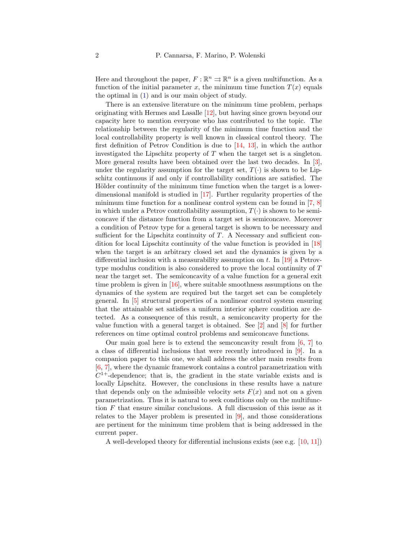Here and throughout the paper,  $F : \mathbb{R}^n \rightrightarrows \mathbb{R}^n$  is a given multifunction. As a function of the initial parameter x, the minimum time function  $T(x)$  equals the optimal in (1) and is our main object of study.

There is an extensive literature on the minimum time problem, perhaps originating with Hermes and Lasalle [12], but having since grown beyond our capacity here to mention everyone who has contributed to the topic. The relationship between the regularity of the minimum time function and the local controllability property is well known in classical control theory. The first definition of Petrov Condition is due to  $[14, 13]$ , in which the author investigated the Lipschitz property of  $T$  when the target set is a singleton. More general results have been obtained over the last two decades. In [3], under the regularity assumption for the target set,  $T(\cdot)$  is shown to be Lipschitz continuous if and only if controllability conditions are satisfied. The Hölder continuity of the minimum time function when the target is a lowerdimensional manifold is studied in [17]. Further regularity properties of the minimum time function for a nonlinear control system can be found in [7, 8] in which under a Petrov controllability assumption,  $T(\cdot)$  is shown to be semiconcave if the distance function from a target set is semiconcave. Moreover a condition of Petrov type for a general target is shown to be necessary and sufficient for the Lipschitz continuity of  $T$ . A Necessary and sufficient condition for local Lipschitz continuity of the value function is provided in [18] when the target is an arbitrary closed set and the dynamics is given by a differential inclusion with a measurability assumption on t. In [19] a Petrovtype modulus condition is also considered to prove the local continuity of T near the target set. The semiconcavity of a value function for a general exit time problem is given in [16], where suitable smoothness assumptions on the dynamics of the system are required but the target set can be completely general. In [5] structural properties of a nonlinear control system ensuring that the attainable set satisfies a uniform interior sphere condition are detected. As a consequence of this result, a semiconcavity property for the value function with a general target is obtained. See [2] and [8] for further references on time optimal control problems and semiconcave functions.

Our main goal here is to extend the semconcavity result from  $[6, 7]$  to a class of differential inclusions that were recently introduced in [9]. In a companion paper to this one, we shall address the other main results from [6, 7], where the dynamic framework contains a control parametrization with  $C^{1+}$ -dependence; that is, the gradient in the state variable exists and is locally Lipschitz. However, the conclusions in these results have a nature that depends only on the admissible velocity sets  $F(x)$  and not on a given parametrization. Thus it is natural to seek conditions only on the multifunction  $F$  that ensure similar conclusions. A full discussion of this issue as it relates to the Mayer problem is presented in [9], and those considerations are pertinent for the minimum time problem that is being addressed in the current paper.

A well-developed theory for differential inclusions exists (see e.g. [10, 11])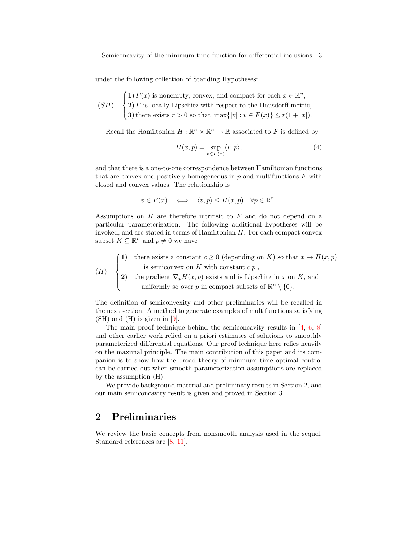under the following collection of Standing Hypotheses:

 $(SH)$  $\sqrt{ }$  $\int$  $\overline{a}$ 1)  $F(x)$  is nonempty, convex, and compact for each  $x \in \mathbb{R}^n$ ,  $2) F$  is locally Lipschitz with respect to the Hausdorff metric, 3) there exists  $r > 0$  so that  $\max\{|v| : v \in F(x)\} \le r(1+|x|)$ .

Recall the Hamiltonian  $H : \mathbb{R}^n \times \mathbb{R}^n \to \mathbb{R}$  associated to F is defined by

$$
H(x,p) = \sup_{v \in F(x)} \langle v, p \rangle,
$$
\n(4)

and that there is a one-to-one correspondence between Hamiltonian functions that are convex and positively homogeneous in  $p$  and multifunctions  $F$  with closed and convex values. The relationship is

$$
v \in F(x) \iff \langle v, p \rangle \le H(x, p) \quad \forall p \in \mathbb{R}^n.
$$

Assumptions on  $H$  are therefore intrinsic to  $F$  and do not depend on a particular parameterization. The following additional hypotheses will be invoked, and are stated in terms of Hamiltonian  $H$ : For each compact convex subset  $K \subseteq \mathbb{R}^n$  and  $p \neq 0$  we have

$$
(H) \quad \begin{cases} \text{1)} & \text{there exists a constant } c \ge 0 \text{ (depending on } K \text{) so that } x \mapsto H(x, p) \\ \text{is semiconvex on } K \text{ with constant } c|p|, \\ \text{2)} & \text{the gradient } \nabla_p H(x, p) \text{ exists and is Lipschitz in } x \text{ on } K \text{, and} \\ & \text{uniformly so over } p \text{ in compact subsets of } \mathbb{R}^n \setminus \{0\}. \end{cases}
$$

The definition of semiconvexity and other preliminaries will be recalled in the next section. A method to generate examples of multifunctions satisfying (SH) and (H) is given in [9].

The main proof technique behind the semiconcavity results in [4, 6, 8] and other earlier work relied on a priori estimates of solutions to smoothly parameterized differential equations. Our proof technique here relies heavily on the maximal principle. The main contribution of this paper and its companion is to show how the broad theory of minimum time optimal control can be carried out when smooth parameterization assumptions are replaced by the assumption (H).

We provide background material and preliminary results in Section 2, and our main semiconcavity result is given and proved in Section 3.

### 2 Preliminaries

We review the basic concepts from nonsmooth analysis used in the sequel. Standard references are [8, 11].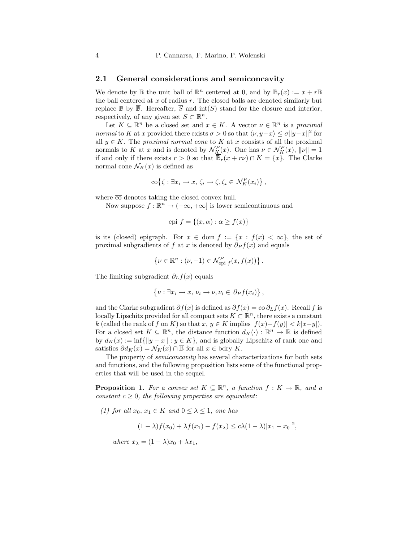#### 2.1 General considerations and semiconcavity

We denote by  $\mathbb B$  the unit ball of  $\mathbb R^n$  centered at 0, and by  $\mathbb B_r(x) := x + r \mathbb B$ the ball centered at  $x$  of radius  $r$ . The closed balls are denoted similarly but replace  $\mathbb B$  by  $\overline{\mathbb B}$ . Hereafter,  $\overline{S}$  and  $\text{int}(S)$  stand for the closure and interior, respectively, of any given set  $S \subset \mathbb{R}^n$ .

Let  $K \subseteq \mathbb{R}^n$  be a closed set and  $x \in K$ . A vector  $\nu \in \mathbb{R}^n$  is a proximal normal to K at x provided there exists  $\sigma > 0$  so that  $\langle \nu, y - x \rangle \leq \sigma ||y - x||^2$  for all  $y \in K$ . The *proximal normal cone* to K at x consists of all the proximal normals to K at x and is denoted by  $\mathcal{N}_{K}^{P}(x)$ . One has  $\nu \in \mathcal{N}_{K}^{P}(x)$ ,  $\|\nu\| = 1$ if and only if there exists  $r > 0$  so that  $\overline{\mathbb{B}}_r(x + r\nu) \cap K = \{x\}$ . The Clarke normal cone  $\mathcal{N}_K(x)$  is defined as

$$
\overline{\mathrm{co}}\big\{\zeta:\exists x_i\to x,\,\zeta_i\to\zeta,\zeta_i\in\mathcal{N}_K^P(x_i)\big\}\,,
$$

where  $\overline{co}$  denotes taking the closed convex hull.

Now suppose  $f : \mathbb{R}^n \to (-\infty, +\infty]$  is lower semicontinuous and

epi 
$$
f = \{(x, \alpha) : \alpha \ge f(x)\}\
$$

is its (closed) epigraph. For  $x \in \text{dom } f := \{x : f(x) < \infty\}$ , the set of proximal subgradients of f at x is denoted by  $\partial_P f(x)$  and equals

$$
\left\{\nu \in \mathbb{R}^n : (\nu, -1) \in \mathcal{N}^P_{\text{epi }f}(x, f(x))\right\}.
$$

The limiting subgradient  $\partial_L f(x)$  equals

$$
\{\nu : \exists x_i \to x, \, \nu_i \to \nu, \nu_i \in \partial_P f(x_i)\},\
$$

and the Clarke subgradient  $\partial f(x)$  is defined as  $\partial f(x) = \overline{\infty} \partial_L f(x)$ . Recall f is locally Lipschitz provided for all compact sets  $K \subset \mathbb{R}^n$ , there exists a constant k (called the rank of f on K) so that  $x, y \in K$  implies  $|f(x)-f(y)| < k|x-y|$ . For a closed set  $K \subseteq \mathbb{R}^n$ , the distance function  $d_K(\cdot) : \mathbb{R}^n \to \mathbb{R}$  is defined by  $d_K(x) := \inf\{\|y - x\| : y \in K\}$ , and is globally Lipschitz of rank one and satisfies  $\partial d_K(x) = \mathcal{N}_K(x) \cap \overline{\mathbb{B}}$  for all  $x \in \text{bdry } K$ .

The property of semiconcavity has several characterizations for both sets and functions, and the following proposition lists some of the functional properties that will be used in the sequel.

**Proposition 1.** For a convex set  $K \subseteq \mathbb{R}^n$ , a function  $f: K \to \mathbb{R}$ , and a constant  $c \geq 0$ , the following properties are equivalent:

(1) for all  $x_0, x_1 \in K$  and  $0 \leq \lambda \leq 1$ , one has

 $(1 - \lambda) f(x_0) + \lambda f(x_1) - f(x_\lambda) \leq c \lambda (1 - \lambda) |x_1 - x_0|^2$ 

where  $x_{\lambda} = (1 - \lambda)x_0 + \lambda x_1$ ,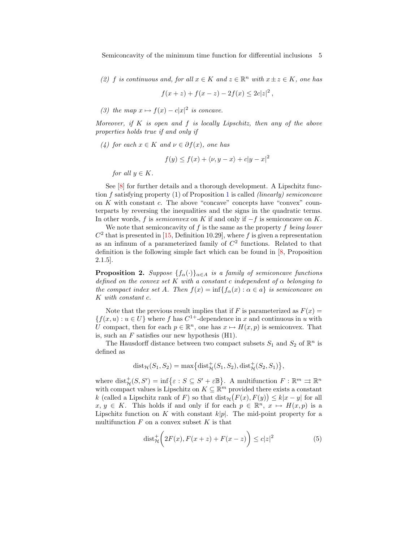(2) f is continuous and, for all  $x \in K$  and  $z \in \mathbb{R}^n$  with  $x \pm z \in K$ , one has

$$
f(x+z) + f(x-z) - 2f(x) \le 2c|z|^2,
$$

(3) the map  $x \mapsto f(x) - c|x|^2$  is concave.

Moreover, if  $K$  is open and  $f$  is locally Lipschitz, then any of the above properties holds true if and only if

(4) for each  $x \in K$  and  $\nu \in \partial f(x)$ , one has

$$
f(y) \le f(x) + \langle \nu, y - x \rangle + c|y - x|^2
$$

for all  $y \in K$ .

See [8] for further details and a thorough development. A Lipschitz function f satisfying property (1) of Proposition 1 is called (linearly) semiconcave on  $K$  with constant  $c$ . The above "concave" concepts have "convex" counterparts by reversing the inequalities and the signs in the quadratic terms. In other words, f is semiconvex on K if and only if  $-f$  is semiconcave on K.

We note that semiconcavity of  $f$  is the same as the property  $f$  being lower  $C<sup>2</sup>$  that is presented in [15, Definition 10.29], where f is given a representation as an infinum of a parameterized family of  $C<sup>2</sup>$  functions. Related to that definition is the following simple fact which can be found in [8, Proposition 2.1.5].

**Proposition 2.** Suppose  $\{f_\alpha(\cdot)\}_\alpha \in A$  is a family of semiconcave functions defined on the convex set K with a constant c independent of  $\alpha$  belonging to the compact index set A. Then  $f(x) = \inf\{f_{\alpha}(x) : \alpha \in a\}$  is semiconcave on K with constant c.

Note that the previous result implies that if F is parameterized as  $F(x) =$  ${f(x, u) : u \in U}$  where f has  $C<sup>1+</sup>$ -dependence in x and continuous in u with U compact, then for each  $p \in \mathbb{R}^n$ , one has  $x \mapsto H(x, p)$  is semiconvex. That is, such an  $F$  satisfies our new hypothesis  $(H1)$ .

The Hausdorff distance between two compact subsets  $S_1$  and  $S_2$  of  $\mathbb{R}^n$  is defined as

$$
dist_{\mathcal{H}}(S_1, S_2) = \max\{dist_{\mathcal{H}}^+(S_1, S_2), dist_{\mathcal{H}}^+(S_2, S_1)\},\
$$

where  $dist^+_{\mathcal{H}}(S, S') = inf\{\varepsilon : S \subseteq S' + \varepsilon \mathbb{B}\}.$  A multifunction  $F : \mathbb{R}^m \rightrightarrows \mathbb{R}^n$ with compact values is Lipschitz on  $K \subseteq \mathbb{R}^m$  provided there exists a constant k (called a Lipschitz rank of F) so that  $dist_{\mathcal{H}}(F(x), F(y)) \leq k|x - y|$  for all  $x, y \in K$ . This holds if and only if for each  $p \in \mathbb{R}^n, x \mapsto H(x, p)$  is a Lipschitz function on K with constant  $k|p|$ . The mid-point property for a multifunction  $F$  on a convex subset  $K$  is that

$$
\text{dist}_{\mathcal{H}}^+\bigg(2F(x), F(x+z) + F(x-z)\bigg) \le c|z|^2\tag{5}
$$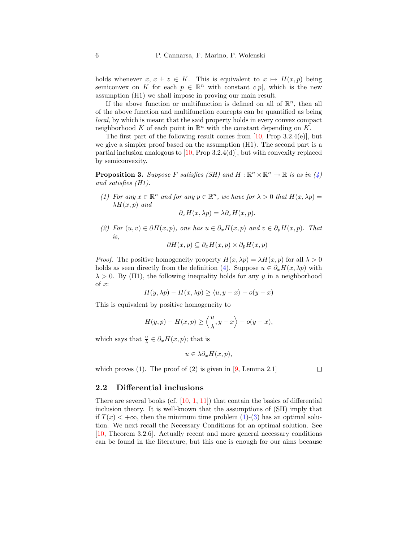holds whenever  $x, x \pm z \in K$ . This is equivalent to  $x \mapsto H(x, p)$  being semiconvex on K for each  $p \in \mathbb{R}^n$  with constant  $c|p|$ , which is the new assumption (H1) we shall impose in proving our main result.

If the above function or multifunction is defined on all of  $\mathbb{R}^n$ , then all of the above function and multifunction concepts can be quantified as being local, by which is meant that the said property holds in every convex compact neighborhood K of each point in  $\mathbb{R}^n$  with the constant depending on K.

The first part of the following result comes from  $[10, Prop 3.2.4(e)]$ , but we give a simpler proof based on the assumption (H1). The second part is a partial inclusion analogous to  $[10, Prop 3.2.4(d)]$ , but with convexity replaced by semiconvexity.

**Proposition 3.** Suppose F satisfies (SH) and  $H : \mathbb{R}^n \times \mathbb{R}^n \to \mathbb{R}$  is as in (4) and satisfies (H1).

(1) For any  $x \in \mathbb{R}^n$  and for any  $p \in \mathbb{R}^n$ , we have for  $\lambda > 0$  that  $H(x, \lambda p) =$  $\lambda H(x,p)$  and

$$
\partial_x H(x, \lambda p) = \lambda \partial_x H(x, p).
$$

(2) For  $(u, v) \in \partial H(x, p)$ , one has  $u \in \partial_x H(x, p)$  and  $v \in \partial_p H(x, p)$ . That is,  $\partial H(x) = \partial H(x)$  ⇒  $\partial H(x)$ 

$$
\partial H(x,p) \subseteq \partial_x H(x,p) \times \partial_p H(x,p)
$$

*Proof.* The positive homogeneity property  $H(x, \lambda p) = \lambda H(x, p)$  for all  $\lambda > 0$ holds as seen directly from the definition (4). Suppose  $u \in \partial_{\tau} H(x, \lambda p)$  with  $\lambda > 0$ . By (H1), the following inequality holds for any y in a neighborhood of x:

$$
H(y, \lambda p) - H(x, \lambda p) \ge \langle u, y - x \rangle - o(y - x)
$$

This is equivalent by positive homogeneity to

$$
H(y,p) - H(x,p) \ge \left\langle \frac{u}{\lambda}, y - x \right\rangle - o(y - x),
$$

which says that  $\frac{u}{\lambda} \in \partial_x H(x, p)$ ; that is

$$
u \in \lambda \partial_x H(x, p),
$$

which proves  $(1)$ . The proof of  $(2)$  is given in [9, Lemma 2.1]

 $\Box$ 

#### 2.2 Differential inclusions

There are several books (cf.  $[10, 1, 11]$ ) that contain the basics of differential inclusion theory. It is well-known that the assumptions of (SH) imply that if  $T(x) < +\infty$ , then the minimum time problem (1)-(3) has an optimal solution. We next recall the Necessary Conditions for an optimal solution. See [10, Theorem 3.2.6]. Actually recent and more general necessary conditions can be found in the literature, but this one is enough for our aims because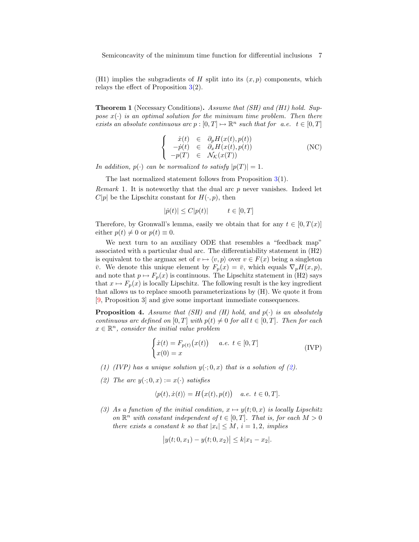Semiconcavity of the minimum time function for differential inclusions 7

(H1) implies the subgradients of H split into its  $(x, p)$  components, which relays the effect of Proposition  $3(2)$ .

**Theorem 1** (Necessary Conditions). Assume that  $(SH)$  and  $(H1)$  hold. Suppose  $x(\cdot)$  is an optimal solution for the minimum time problem. Then there exists an absolute continuous arc  $p : [0, T] \mapsto \mathbb{R}^n$  such that for a.e.  $t \in [0, T]$ 

$$
\begin{cases}\n\dot{x}(t) \in \partial_p H(x(t), p(t)) \\
-\dot{p}(t) \in \partial_x H(x(t), p(t)) \\
-p(T) \in \mathcal{N}_{\mathcal{K}}(x(T))\n\end{cases}
$$
\n(NC)

In addition,  $p(\cdot)$  can be normalized to satisfy  $|p(T)| = 1$ .

The last normalized statement follows from Proposition 3(1).

*Remark* 1. It is noteworthy that the dual arc  $p$  never vanishes. Indeed let  $C|p|$  be the Lipschitz constant for  $H(\cdot, p)$ , then

$$
|\dot{p}(t)| \le C|p(t)| \qquad t \in [0, T]
$$

Therefore, by Gronwall's lemma, easily we obtain that for any  $t \in [0, T(x)]$ either  $p(t) \neq 0$  or  $p(t) \equiv 0$ .

We next turn to an auxiliary ODE that resembles a "feedback map" associated with a particular dual arc. The differentiability statement in (H2) is equivalent to the argmax set of  $v \mapsto \langle v, p \rangle$  over  $v \in F(x)$  being a singleton  $\bar{v}$ . We denote this unique element by  $F_p(x) = \bar{v}$ , which equals  $\nabla_p H(x, p)$ , and note that  $p \mapsto F_p(x)$  is continuous. The Lipschitz statement in (H2) says that  $x \mapsto F_p(x)$  is locally Lipschitz. The following result is the key ingredient that allows us to replace smooth parameterizations by (H). We quote it from [9, Proposition 3] and give some important immediate consequences.

**Proposition 4.** Assume that (SH) and (H) hold, and  $p(\cdot)$  is an absolutely continuous arc defined on  $[0, T]$  with  $p(t) \neq 0$  for all  $t \in [0, T]$ . Then for each  $x \in \mathbb{R}^n$ , consider the initial value problem

$$
\begin{cases}\n\dot{x}(t) = F_{p(t)}(x(t)) & a.e. \ t \in [0, T] \\
x(0) = x\n\end{cases}
$$
\n(IVP)

- (1) (IVP) has a unique solution  $y(\cdot; 0, x)$  that is a solution of (2).
- (2) The arc  $y(\cdot; 0, x) := x(\cdot)$  satisfies

$$
\langle p(t), \dot{x}(t) \rangle = H(x(t), p(t)) \quad a.e. \ t \in [0, T].
$$

(3) As a function of the initial condition,  $x \mapsto y(t; 0, x)$  is locally Lipschitz on  $\mathbb{R}^n$  with constant independent of  $t \in [0, T]$ . That is, for each  $M > 0$ there exists a constant k so that  $|x_i| \leq M$ ,  $i = 1, 2$ , implies

$$
|y(t; 0, x_1) - y(t; 0, x_2)| \le k|x_1 - x_2|.
$$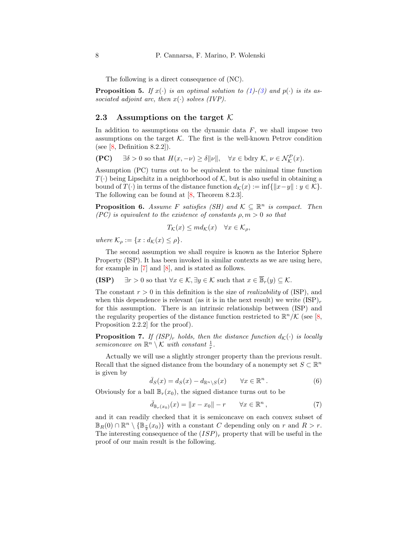The following is a direct consequence of (NC).

**Proposition 5.** If  $x(\cdot)$  is an optimal solution to (1)-(3) and  $p(\cdot)$  is its associated adjoint arc, then  $x(\cdot)$  solves (IVP).

#### 2.3 Assumptions on the target  $\mathcal K$

In addition to assumptions on the dynamic data  $F$ , we shall impose two assumptions on the target  $K$ . The first is the well-known Petrov condition (see  $[8,$  Definition 8.2.2]).

$$
(\mathbf{PC}) \quad \exists \delta > 0 \text{ so that } H(x, -\nu) \ge \delta \|\nu\|, \quad \forall x \in \text{bdry } \mathcal{K}, \nu \in \mathcal{N}_{\mathcal{K}}^P(x).
$$

Assumption (PC) turns out to be equivalent to the minimal time function  $T(\cdot)$  being Lipschitz in a neighborhood of K, but is also useful in obtaining a bound of  $T(\cdot)$  in terms of the distance function  $d_{\mathcal{K}}(x) := \inf\{\|x-y\| : y \in \mathcal{K}\}.$ The following can be found at [8, Theorem 8.2.3].

**Proposition 6.** Assume F satisfies (SH) and  $\mathcal{K} \subseteq \mathbb{R}^n$  is compact. Then (PC) is equivalent to the existence of constants  $\rho, m > 0$  so that

$$
T_{\mathcal{K}}(x) \le m d_{\mathcal{K}}(x) \quad \forall x \in \mathcal{K}_{\rho},
$$

where  $\mathcal{K}_{\rho} := \{x : d_{\mathcal{K}}(x) \leq \rho\}.$ 

The second assumption we shall require is known as the Interior Sphere Property (ISP). It has been invoked in similar contexts as we are using here, for example in [7] and [8], and is stated as follows.

(ISP)  $\exists r > 0$  so that  $\forall x \in \mathcal{K}, \exists y \in \mathcal{K}$  such that  $x \in \overline{\mathbb{B}}_r(y) \subseteq \mathcal{K}$ .

The constant  $r > 0$  in this definition is the size of *realizability* of (ISP), and when this dependence is relevant (as it is in the next result) we write  $(ISP)_r$ for this assumption. There is an intrinsic relationship between (ISP) and the regularity properties of the distance function restricted to  $\mathbb{R}^n/\mathcal{K}$  (see [8, Proposition 2.2.2] for the proof).

**Proposition 7.** If (ISP)<sub>r</sub> holds, then the distance function  $d_K(\cdot)$  is locally semiconcave on  $\mathbb{R}^n \setminus \mathcal{K}$  with constant  $\frac{1}{r}$ .

Actually we will use a slightly stronger property than the previous result. Recall that the signed distance from the boundary of a nonempty set  $S \subset \mathbb{R}^n$ is given by

$$
\bar{d}_S(x) = d_S(x) - d_{\mathbb{R}^n \setminus S}(x) \qquad \forall x \in \mathbb{R}^n.
$$
 (6)

Obviously for a ball  $\mathbb{B}_r(x_0)$ , the signed distance turns out to be

$$
\bar{d}_{\mathbb{B}_r(x_0)}(x) = \|x - x_0\| - r \qquad \forall x \in \mathbb{R}^n ,
$$
 (7)

and it can readily checked that it is semiconcave on each convex subset of  $\mathbb{B}_R(0) \cap \mathbb{R}^n \setminus {\mathbb{B}}_{\frac{r}{2}}(x_0)$  with a constant C depending only on r and  $R > r$ . The interesting consequence of the  $(ISP)_r$  property that will be useful in the proof of our main result is the following.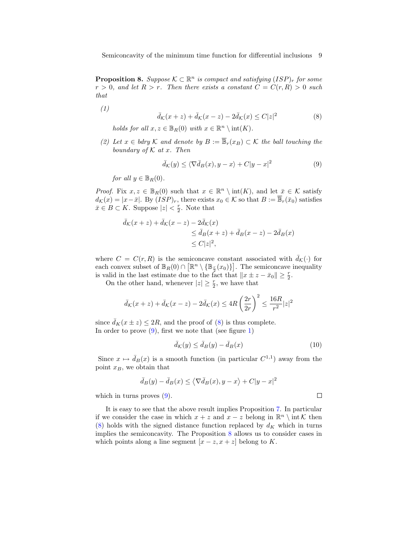**Proposition 8.** Suppose  $K \subset \mathbb{R}^n$  is compact and satisfying  $(ISP)_r$  for some  $r > 0$ , and let  $R > r$ . Then there exists a constant  $C = C(r, R) > 0$  such that

(1)

$$
\bar{d}_{\mathcal{K}}(x+z) + \bar{d}_{\mathcal{K}}(x-z) - 2\bar{d}_{\mathcal{K}}(x) \le C|z|^2 \tag{8}
$$

holds for all  $x, z \in \mathbb{B}_R(0)$  with  $x \in \mathbb{R}^n \setminus \text{int}(K)$ .

(2) Let  $x \in bdry \mathcal{K}$  and denote by  $B := \overline{\mathbb{B}}_r(x_B) \subset \mathcal{K}$  the ball touching the boundary of  $K$  at  $x$ . Then

$$
\bar{d}_{\mathcal{K}}(y) \le \langle \nabla \bar{d}_{B}(x), y - x \rangle + C|y - x|^2 \tag{9}
$$

for all  $y \in \mathbb{B}_R(0)$ .

*Proof.* Fix  $x, z \in \mathbb{B}_R(0)$  such that  $x \in \mathbb{R}^n \setminus \text{int}(K)$ , and let  $\bar{x} \in \mathcal{K}$  satisfy  $d_{\mathcal{K}}(x) = |x-\bar{x}|$ . By  $(ISP)_r$ , there exists  $x_0 \in \mathcal{K}$  so that  $B := \overline{\mathbb{B}}_r(\bar{x}_0)$  satisfies  $\bar{x} \in B \subset K$ . Suppose  $|z| < \frac{r}{2}$ . Note that

$$
\overline{d}_{\mathcal{K}}(x+z) + \overline{d}_{\mathcal{K}}(x-z) - 2\overline{d}_{\mathcal{K}}(x) \n\leq \overline{d}_{B}(x+z) + \overline{d}_{B}(x-z) - 2\overline{d}_{B}(x) \n\leq C|z|^{2},
$$

where  $C = C(r, R)$  is the semiconcave constant associated with  $\bar{d}_{\mathcal{K}}(\cdot)$  for each convex subset of  $\mathbb{B}_R(0) \cap [\mathbb{R}^n \setminus {\mathbb{B}_{\frac{r}{2}}(x_0)}].$  The semiconcave inequality is valid in the last estimate due to the fact that  $||x \pm z - \bar{x}_0|| \geq \frac{r}{2}$ .

On the other hand, whenever  $|z| \geq \frac{r}{2}$ , we have that

$$
\bar{d}_{\mathcal{K}}(x+z) + \bar{d}_{\mathcal{K}}(x-z) - 2\bar{d}_{\mathcal{K}}(x) \le 4R\left(\frac{2r}{2r}\right)^2 \le \frac{16R}{r^2}|z|^2
$$

since  $\bar{d}_K(x \pm z) \leq 2R$ , and the proof of (8) is thus complete. In order to prove  $(9)$ , first we note that (see figure 1)

$$
\bar{d}_{\mathcal{K}}(y) \le \bar{d}_{B}(y) - \bar{d}_{B}(x) \tag{10}
$$

 $\Box$ 

Since  $x \mapsto \bar{d}_B(x)$  is a smooth function (in particular  $C^{1,1}$ ) away from the point  $x_B$ , we obtain that

$$
\bar{d}_B(y) - \bar{d}_B(x) \le \langle \nabla \bar{d}_B(x), y - x \rangle + C|y - x|^2
$$

which in turns proves  $(9)$ .

It is easy to see that the above result implies Proposition 7. In particular if we consider the case in which  $x + z$  and  $x - z$  belong in  $\mathbb{R}^n \setminus \text{int }\mathcal{K}$  then (8) holds with the signed distance function replaced by  $d_K$  which in turns implies the semiconcavity. The Proposition 8 allows us to consider cases in which points along a line segment  $[x - z, x + z]$  belong to K.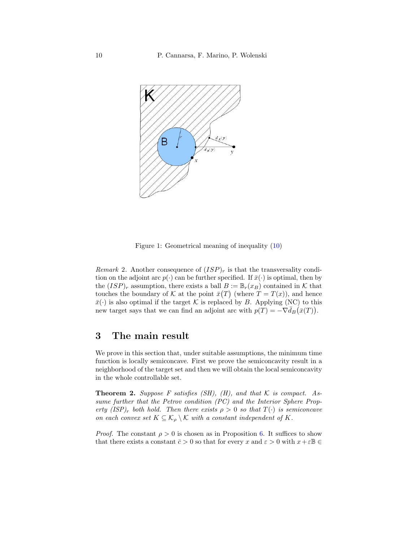

Figure 1: Geometrical meaning of inequality (10)

Remark 2. Another consequence of  $(ISP)_r$  is that the transversality condition on the adjoint arc  $p(\cdot)$  can be further specified. If  $\bar{x}(\cdot)$  is optimal, then by the  $(ISP)_r$  assumption, there exists a ball  $B := \mathbb{B}_r(x_B)$  contained in K that touches the boundary of K at the point  $\bar{x}(T)$  (where  $T = T(x)$ ), and hence  $\bar{x}(\cdot)$  is also optimal if the target K is replaced by B. Applying (NC) to this new target says that we can find an adjoint arc with  $p(T) = -\nabla \bar{d}_B(\bar{x}(T)).$ 

## 3 The main result

We prove in this section that, under suitable assumptions, the minimum time function is locally semiconcave. First we prove the semiconcavity result in a neighborhood of the target set and then we will obtain the local semiconcavity in the whole controllable set.

**Theorem 2.** Suppose F satisfies (SH), (H), and that  $K$  is compact. Assume further that the Petrov condition (PC) and the Interior Sphere Property  $(ISP)_r$  both hold. Then there exists  $\rho > 0$  so that  $T(\cdot)$  is semiconcave on each convex set  $K \subseteq \mathcal{K}_{\rho} \setminus \mathcal{K}$  with a constant independent of K.

*Proof.* The constant  $\rho > 0$  is chosen as in Proposition 6. It suffices to show that there exists a constant  $\bar{c} > 0$  so that for every x and  $\varepsilon > 0$  with  $x + \varepsilon \mathbb{B} \in$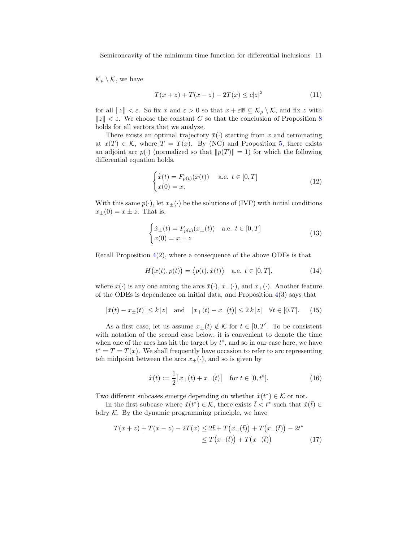Semiconcavity of the minimum time function for differential inclusions 11

 $\mathcal{K}_{\rho} \setminus \mathcal{K}$ , we have

$$
T(x+z) + T(x-z) - 2T(x) \le \bar{c}|z|^2 \tag{11}
$$

for all  $||z|| < \varepsilon$ . So fix x and  $\varepsilon > 0$  so that  $x + \varepsilon \mathbb{B} \subseteq \mathcal{K}_{\rho} \setminus \mathcal{K}$ , and fix z with  $||z|| < \varepsilon$ . We choose the constant C so that the conclusion of Proposition 8 holds for all vectors that we analyze.

There exists an optimal trajectory  $\bar{x}(\cdot)$  starting from x and terminating at  $x(T) \in \mathcal{K}$ , where  $T = T(x)$ . By (NC) and Proposition 5, there exists an adjoint arc  $p(\cdot)$  (normalized so that  $||p(T)|| = 1$ ) for which the following differential equation holds.

$$
\begin{cases} \dot{\bar{x}}(t) = F_{p(t)}(\bar{x}(t)) & \text{a.e. } t \in [0, T] \\ x(0) = x. \end{cases}
$$
\n(12)

With this same  $p(\cdot)$ , let  $x_{\pm}(\cdot)$  be the solutions of (IVP) with initial conditions  $x_{\pm}(0) = x \pm z$ . That is,

$$
\begin{cases}\n\dot{x}_{\pm}(t) = F_{p(t)}(x_{\pm}(t)) & \text{a.e. } t \in [0, T] \\
x(0) = x \pm z\n\end{cases}
$$
\n(13)

Recall Proposition  $4(2)$ , where a consequence of the above ODEs is that

$$
H(x(t), p(t)) = \langle p(t), \dot{x}(t) \rangle \quad \text{a.e. } t \in [0, T], \tag{14}
$$

where  $x(\cdot)$  is any one among the arcs  $\bar{x}(\cdot), x_{-}(\cdot)$ , and  $x_{+}(\cdot)$ . Another feature of the ODEs is dependence on initial data, and Proposition  $4(3)$  says that

$$
|\bar{x}(t) - x_{\pm}(t)| \le k |z| \quad \text{and} \quad |x_{+}(t) - x_{-}(t)| \le 2 k |z| \quad \forall t \in [0,T]. \tag{15}
$$

As a first case, let us assume  $x_{\pm}(t) \notin \mathcal{K}$  for  $t \in [0, T]$ . To be consistent with notation of the second case below, it is convenient to denote the time when one of the arcs has hit the target by  $t^*$ , and so in our case here, we have  $t^* = T = T(x)$ . We shall frequently have occasion to refer to arc representing teh midpoint between the arcs  $x_{\pm}(\cdot)$ , and so is given by

$$
\tilde{x}(t) := \frac{1}{2} \big[ x_+(t) + x_-(t) \big] \quad \text{for } t \in [0, t^*]. \tag{16}
$$

Two different subcases emerge depending on whether  $\tilde{x}(t^*) \in \mathcal{K}$  or not.

In the first subcase where  $\tilde{x}(t^*) \in \mathcal{K}$ , there exists  $\bar{t} < t^*$  such that  $\tilde{x}(\bar{t}) \in$ bdry  $K$ . By the dynamic programming principle, we have

$$
T(x+z) + T(x-z) - 2T(x) \le 2\bar{t} + T(x_+(\bar{t})) + T(x_-(\bar{t})) - 2t^*
$$
  

$$
\le T(x_+(\bar{t})) + T(x_-(\bar{t})) \tag{17}
$$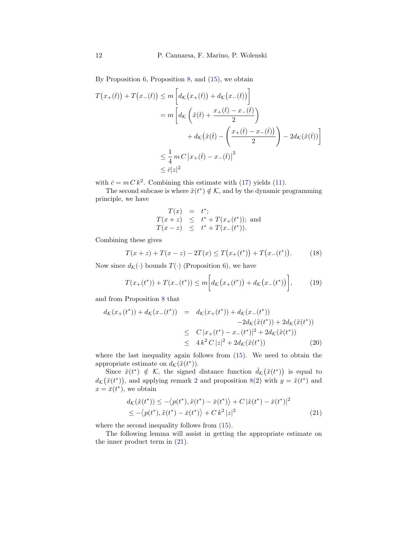By Proposition  $6$ , Proposition  $8$ , and  $(15)$ , we obtain

$$
T(x_{+}(\bar{t})) + T(x_{-}(\bar{t})) \le m \left[ d_{\mathcal{K}}(x_{+}(\bar{t})) + d_{\mathcal{K}}(x_{-}(\bar{t})) \right]
$$
  

$$
= m \left[ d_{\mathcal{K}} \left( \tilde{x}(\bar{t}) + \frac{x_{+}(\bar{t}) - x_{-}(\bar{t})}{2} \right) + d_{\mathcal{K}}(\tilde{x}(\bar{t}) - \left( \frac{x_{+}(\bar{t}) - x_{-}(\bar{t})}{2} \right) - 2d_{\mathcal{K}}(\tilde{x}(\bar{t})) \right]
$$
  

$$
\le \frac{1}{4} m C \left| x_{+}(\bar{t}) - x_{-}(\bar{t}) \right|^{2}
$$
  

$$
\le \bar{c} |z|^{2}
$$

with  $\bar{c} = m C k^2$ . Combining this estimate with (17) yields (11).

The second subcase is where  $\tilde{x}(t^*) \notin \mathcal{K}$ , and by the dynamic programming principle, we have

$$
T(x) = t^*;
$$
  
\n
$$
T(x+z) \leq t^* + T(x_+(t^*));
$$
 and  
\n
$$
T(x-z) \leq t^* + T(x_-(t^*)).
$$

Combining these gives

$$
T(x+z) + T(x-z) - 2T(x) \le T(x_+(t^*)) + T(x_-(t^*))
$$
 (18)

Now since  $d_{\mathcal{K}}(\cdot)$  bounds  $T(\cdot)$  (Proposition 6), we have

$$
T(x_{+}(t^{*})) + T(x_{-}(t^{*})) \le m \bigg[ d_{\mathcal{K}}(x_{+}(t^{*})) + d_{\mathcal{K}}(x_{-}(t^{*})) \bigg], \qquad (19)
$$

and from Proposition 8 that

$$
d_{\mathcal{K}}(x_{+}(t^{*})) + d_{\mathcal{K}}(x_{-}(t^{*})) = d_{\mathcal{K}}(x_{+}(t^{*})) + d_{\mathcal{K}}(x_{-}(t^{*}))
$$
  
\n
$$
-2d_{\mathcal{K}}(\tilde{x}(t^{*})) + 2d_{\mathcal{K}}(\tilde{x}(t^{*}))
$$
  
\n
$$
\leq C |x_{+}(t^{*}) - x_{-}(t^{*})|^{2} + 2d_{\mathcal{K}}(\tilde{x}(t^{*}))
$$
  
\n
$$
\leq 4 k^{2} C |z|^{2} + 2d_{\mathcal{K}}(\tilde{x}(t^{*}))
$$
\n(20)

where the last inequality again follows from  $(15)$ . We need to obtain the appropriate estimate on  $d_{\mathcal{K}}(\tilde{x}(t^*))$ .

Since  $\tilde{x}(t^*) \notin \mathcal{K}$ , the signed distance function  $\bar{d}_{\mathcal{K}}(\tilde{x}(t^*))$  is equal to  $d_{\mathcal{K}}(\tilde{x}(t^*))$ , and applying remark 2 and proposition 8(2) with  $y = \tilde{x}(t^*)$  and  $x = \bar{x}(t^*),$  we obtain

$$
d_{\mathcal{K}}(\tilde{x}(t^*)) \leq -\langle p(t^*), \tilde{x}(t^*) - \bar{x}(t^*) \rangle + C |\tilde{x}(t^*) - \bar{x}(t^*)|^2
$$
  
 
$$
\leq -\langle p(t^*), \tilde{x}(t^*) - \bar{x}(t^*) \rangle + C k^2 |z|^2
$$
 (21)

where the second inequality follows from (15).

The following lemma will assist in getting the appropriate estimate on the inner product term in (21).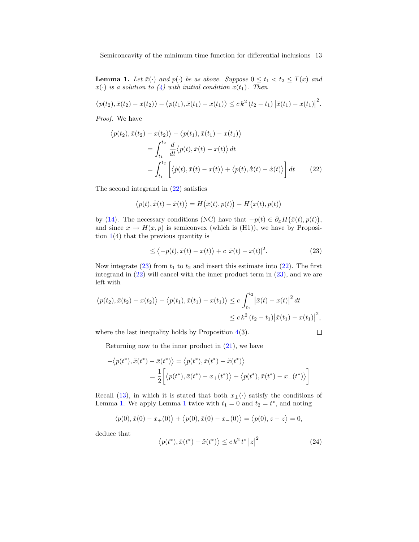Semiconcavity of the minimum time function for differential inclusions 13

**Lemma 1.** Let  $\bar{x}(\cdot)$  and  $p(\cdot)$  be as above. Suppose  $0 \le t_1 < t_2 \le T(x)$  and  $x(\cdot)$  is a solution to  $(4)$  with initial condition  $x(t_1)$ . Then

$$
\langle p(t_2), \bar{x}(t_2) - x(t_2) \rangle - \langle p(t_1), \bar{x}(t_1) - x(t_1) \rangle \leq c k^2 (t_2 - t_1) |\bar{x}(t_1) - x(t_1)|^2.
$$

Proof. We have

$$
\langle p(t_2), \bar{x}(t_2) - x(t_2) \rangle - \langle p(t_1), \bar{x}(t_1) - x(t_1) \rangle
$$
  
\n
$$
= \int_{t_1}^{t_2} \frac{d}{dt} \langle p(t), \bar{x}(t) - x(t) \rangle dt
$$
  
\n
$$
= \int_{t_1}^{t_2} \left[ \langle \dot{p}(t), \bar{x}(t) - x(t) \rangle + \langle p(t), \dot{\bar{x}}(t) - \dot{x}(t) \rangle \right] dt
$$
(22)

The second integrand in (22) satisfies

$$
\langle p(t), \dot{\bar{x}}(t) - \dot{x}(t) \rangle = H(\bar{x}(t), p(t)) - H(x(t), p(t))
$$

by (14). The necessary conditions (NC) have that  $-p(t) \in \partial_x H(\bar{x}(t), p(t)),$ and since  $x \mapsto H(x, p)$  is semiconvex (which is (H1)), we have by Proposition  $1(4)$  that the previous quantity is

$$
\leq \langle -p(t), \bar{x}(t) - x(t) \rangle + c |\bar{x}(t) - x(t)|^2. \tag{23}
$$

Now integrate  $(23)$  from  $t_1$  to  $t_2$  and insert this estimate into  $(22)$ . The first integrand in (22) will cancel with the inner product term in (23), and we are left with

$$
\langle p(t_2), \bar{x}(t_2) - x(t_2) \rangle - \langle p(t_1), \bar{x}(t_1) - x(t_1) \rangle \le c \int_{t_1}^{t_2} |\bar{x}(t) - x(t)|^2 dt
$$
  

$$
\le c k^2 (t_2 - t_1) |\bar{x}(t_1) - x(t_1)|^2,
$$

where the last inequality holds by Proposition  $4(3)$ .

 $\Box$ 

Returning now to the inner product in  $(21)$ , we have

$$
-\langle p(t^*), \tilde{x}(t^*) - \bar{x}(t^*) \rangle = \langle p(t^*), \bar{x}(t^*) - \tilde{x}(t^*) \rangle
$$
  
= 
$$
\frac{1}{2} \Big[ \langle p(t^*), \bar{x}(t^*) - x_+(t^*) \rangle + \langle p(t^*), \bar{x}(t^*) - x_-(t^*) \rangle \Big]
$$

Recall (13), in which it is stated that both  $x_{\pm}(\cdot)$  satisfy the conditions of Lemma 1. We apply Lemma 1 twice with  $t_1 = 0$  and  $t_2 = t^*$ , and noting

$$
\langle p(0), \bar{x}(0) - x_+(0) \rangle + \langle p(0), \bar{x}(0) - x_-(0) \rangle = \langle p(0), z - z \rangle = 0,
$$

deduce that

$$
\langle p(t^*), \bar{x}(t^*) - \tilde{x}(t^*) \rangle \le ck^2 t^* |z|^2 \tag{24}
$$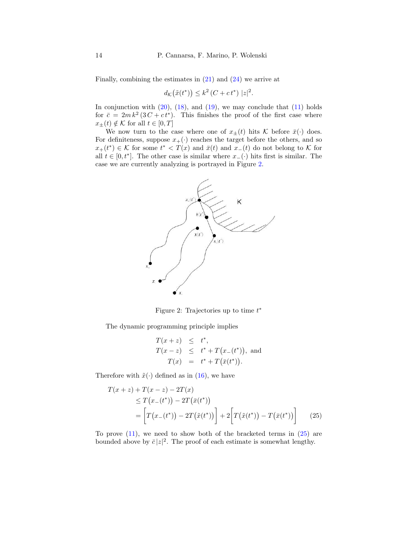Finally, combining the estimates in (21) and (24) we arrive at

$$
d_{\mathcal{K}}(\tilde{x}(t^*)) \leq k^2 (C + ct^*) |z|^2.
$$

In conjunction with  $(20)$ ,  $(18)$ , and  $(19)$ , we may conclude that  $(11)$  holds for  $\bar{c} = 2mk^2(3C + ct^*)$ . This finishes the proof of the first case where  $x_{\pm}(t) \notin \mathcal{K}$  for all  $t \in [0, T]$ 

We now turn to the case where one of  $x_{\pm}(t)$  hits K before  $\bar{x}(\cdot)$  does. For definiteness, suppose  $x_+(\cdot)$  reaches the target before the others, and so  $x_+(t^*) \in \mathcal{K}$  for some  $t^* < T(x)$  and  $\bar{x}(t)$  and  $x_-(t)$  do not belong to  $\mathcal K$  for all  $t \in [0, t^*]$ . The other case is similar where  $x_-(\cdot)$  hits first is similar. The case we are currently analyzing is portrayed in Figure 2.



Figure 2: Trajectories up to time  $t^*$ 

The dynamic programming principle implies

$$
T(x + z) \leq t^*,
$$
  
\n
$$
T(x - z) \leq t^* + T(x_-(t^*)),
$$
 and  
\n
$$
T(x) = t^* + T(\bar{x}(t^*)).
$$

Therefore with  $\tilde{x}(\cdot)$  defined as in (16), we have

$$
T(x+z) + T(x-z) - 2T(x)
$$
  
\n
$$
\leq T(x_{-}(t^{*})) - 2T(\bar{x}(t^{*}))
$$
  
\n
$$
= \left[ T(x_{-}(t^{*})) - 2T(\tilde{x}(t^{*})) \right] + 2 \left[ T(\tilde{x}(t^{*})) - T(\bar{x}(t^{*})) \right]
$$
(25)

To prove  $(11)$ , we need to show both of the bracketed terms in  $(25)$  are bounded above by  $\bar{c}|z|^2$ . The proof of each estimate is somewhat lengthy.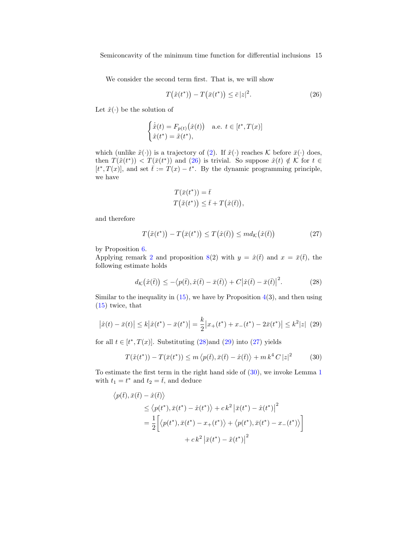Semiconcavity of the minimum time function for differential inclusions 15

We consider the second term first. That is, we will show

$$
T(\tilde{x}(t^*)) - T(\bar{x}(t^*)) \le \bar{c}|z|^2.
$$
\n(26)

Let  $\hat{x}(\cdot)$  be the solution of

$$
\begin{cases} \dot{\hat{x}}(t) = F_{p(t)}(\hat{x}(t)) & \text{a.e. } t \in [t^*, T(x)]\\ \hat{x}(t^*) = \tilde{x}(t^*), \end{cases}
$$

which (unlike  $\tilde{x}(\cdot)$ ) is a trajectory of (2). If  $\hat{x}(\cdot)$  reaches K before  $\bar{x}(\cdot)$  does, then  $T(\tilde{x}(t^*))$  <  $T(\bar{x}(t^*))$  and (26) is trivial. So suppose  $\hat{x}(t) \notin \mathcal{K}$  for  $t \in$  $[t^*, T(x)]$ , and set  $\bar{t} := T(x) - t^*$ . By the dynamic programming principle, we have

$$
T(\bar{x}(t^*)) = \bar{t}
$$
  

$$
T(\tilde{x}(t^*)) \leq \bar{t} + T(\hat{x}(\bar{t})),
$$

and therefore

$$
T(\tilde{x}(t^*)) - T(\bar{x}(t^*)) \le T(\hat{x}(t)) \le md_{\mathcal{K}}(\hat{x}(t))
$$
\n(27)

by Proposition 6.

Applying remark 2 and proposition 8(2) with  $y = \hat{x}(\bar{t})$  and  $x = \bar{x}(\bar{t})$ , the following estimate holds

$$
d_{\mathcal{K}}(\hat{x}(\bar{t})) \le -\langle p(\bar{t}), \hat{x}(\bar{t}) - \bar{x}(\bar{t}) \rangle + C |\hat{x}(\bar{t}) - \bar{x}(\bar{t})|^2. \tag{28}
$$

Similar to the inequality in  $(15)$ , we have by Proposition  $4(3)$ , and then using (15) twice, that

$$
\left|\hat{x}(t) - \bar{x}(t)\right| \le k\left|\hat{x}(t^*) - \bar{x}(t^*)\right| = \frac{k}{2}\left|x_+(t^*) + x_-(t^*) - 2\bar{x}(t^*)\right| \le k^2|z| \tag{29}
$$

for all  $t \in [t^*, T(x)]$ . Substituting (28) and (29) into (27) yields

$$
T(\tilde{x}(t^*)) - T(\bar{x}(t^*)) \le m \langle p(\bar{t}), \bar{x}(\bar{t}) - \hat{x}(\bar{t}) \rangle + m k^4 C |z|^2 \tag{30}
$$

To estimate the first term in the right hand side of (30), we invoke Lemma 1 with  $t_1 = t^*$  and  $t_2 = \overline{t}$ , and deduce

$$
\langle p(\bar{t}), \bar{x}(\bar{t}) - \hat{x}(\bar{t}) \rangle
$$
  
\n
$$
\leq \langle p(t^*), \bar{x}(t^*) - \hat{x}(t^*) \rangle + ck^2 |\bar{x}(t^*) - \hat{x}(t^*)|^2
$$
  
\n
$$
= \frac{1}{2} \Big[ \langle p(t^*), \bar{x}(t^*) - x_+(t^*) \rangle + \langle p(t^*), \bar{x}(t^*) - x_-(t^*) \rangle \Big]
$$
  
\n
$$
+ ck^2 |\bar{x}(t^*) - \tilde{x}(t^*)|^2
$$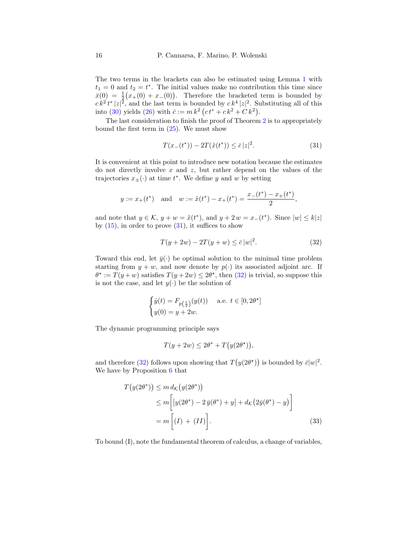The two terms in the brackets can also be estimated using Lemma 1 with  $t_1 = 0$  and  $t_2 = t^*$ . The initial values make no contribution this time since  $\bar{x}(0) = \frac{1}{2}(x+(0) + x-(0)).$  Therefore the bracketed term is bounded by  $ck^2 t^* |z|^2$ , and the last term is bounded by  $ck^4 |z|^2$ . Substituting all of this into (30) yields (26) with  $\bar{c} := m k^2 (ct^* + c k^2 + C k^2)$ .

The last consideration to finish the proof of Theorem 2 is to appropriately bound the first term in  $(25)$ . We must show

$$
T(x_{-}(t^{*})) - 2T(\tilde{x}(t^{*})) \le \bar{c}|z|^{2}.
$$
\n(31)

It is convenient at this point to introduce new notation because the estimates do not directly involve  $x$  and  $z$ , but rather depend on the values of the trajectories  $x_{\pm}(\cdot)$  at time  $t^*$ . We define y and w by setting

$$
y := x_+(t^*)
$$
 and  $w := \tilde{x}(t^*) - x_+(t^*) = \frac{x_-(t^*) - x_+(t^*)}{2}$ ,

and note that  $y \in \mathcal{K}$ ,  $y + w = \tilde{x}(t^*)$ , and  $y + 2w = x_-(t^*)$ . Since  $|w| \leq k|z|$ by  $(15)$ , in order to prove  $(31)$ , it suffices to show

$$
T(y + 2w) - 2T(y + w) \le \bar{c}|w|^2.
$$
 (32)

Toward this end, let  $\bar{y}(\cdot)$  be optimal solution to the minimal time problem starting from  $y + w$ , and now denote by  $p(.)$  its associated adjoint arc. If  $\theta^* := T(y+w)$  satisfies  $T(y+2w) \leq 2\theta^*$ , then (32) is trivial, so suppose this is not the case, and let  $y(\cdot)$  be the solution of

$$
\begin{cases} \dot{y}(t) = F_{p\left(\frac{t}{2}\right)}(y(t)) & \text{a.e. } t \in [0, 2\theta^{\star}] \\ y(0) = y + 2w. \end{cases}
$$

The dynamic programming principle says

$$
T(y + 2w) \le 2\theta^* + T(y(2\theta^*)),
$$

and therefore (32) follows upon showing that  $T(y(2\theta^*))$  is bounded by  $\bar{c}|w|^2$ . We have by Proposition 6 that

$$
T(y(2\theta^*)) \le m d_K(y(2\theta^*))
$$
  
\n
$$
\le m \left[ |y(2\theta^*) - 2\,\overline{y}(\theta^*) + y| + d_K(2\overline{y}(\theta^*) - y) \right]
$$
  
\n
$$
= m \left[ (I) + (II) \right].
$$
\n(33)

To bound (I), note the fundamental theorem of calculus, a change of variables,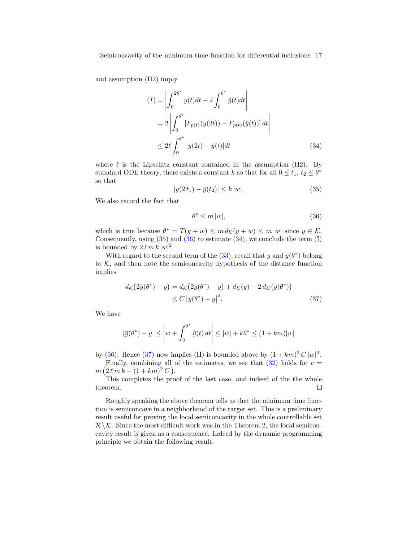and assumption (H2) imply

$$
(I) = \left| \int_0^{2\theta^*} \dot{y}(t)dt - 2 \int_0^{\theta^*} \dot{y}(t)dt \right|
$$
  
=  $2 \left| \int_0^{\theta^*} [F_{p(t)}(y(2t)) - F_{p(t)}(\bar{y}(t))] dt \right|$   
 $\leq 2\ell \int_0^{\theta^*} |y(2t) - \bar{y}(t)| dt$  (34)

where  $\ell$  is the Lipschitz constant contained in the assumption (H2). By standard ODE theory, there exists a constant k so that for all  $0 \le t_1, t_2 \le \theta^*$ so that

$$
|y(2t_1) - \bar{y}(t_2)| \le k |w|. \tag{35}
$$

We also record the fact that

$$
\theta^* \le m \, |w|,\tag{36}
$$

which is true because  $\theta^* = T(y + w) \leq m d_{\mathcal{K}}(y + w) \leq m |w|$  since  $y \in \mathcal{K}$ . Consequently, using  $(35)$  and  $(36)$  to estimate  $(34)$ , we conclude the term  $(I)$ is bounded by  $2 \ell m k |w|^2$ .

With regard to the second term of the (33), recall that y and  $\bar{y}(\theta^*)$  belong to  $K$ , and then note the semiconcavity hypothesis of the distance function implies

$$
d_{\mathcal{K}}(2\bar{y}(\theta^*) - y) = d_{\mathcal{K}}(2\bar{y}(\theta^*) - y) + d_{\mathcal{K}}(y) - 2 d_{\mathcal{K}}(\bar{y}(\theta^*))
$$
  
 
$$
\leq C |\bar{y}(\theta^*) - y|^2.
$$
 (37)

We have

$$
\left|\bar{y}(\theta^*) - y\right| \le \left|w + \int_0^{\theta^*} \dot{\bar{y}}(t) dt\right| \le |w| + k\theta^* \le (1 + km)|w|
$$

by (36). Hence (37) now implies (II) is bounded above by  $(1 + km)^2 C |w|^2$ . Finally, combining all of the estimates, we see that  $(32)$  holds for  $\bar{c}$  =  $m (2 \ell m k + (1 + km)^2 C).$ 

This completes the proof of the last case, and indeed of the the whole theorem.  $\Box$ 

Roughly speaking the above theorem tells us that the minimum time function is semiconcave in a neighborhood of the target set. This is a preliminary result useful for proving the local semiconcavity in the whole controllable set  $\mathcal{R} \backslash \mathcal{K}$ . Since the most difficult work was in the Theorem 2, the local semiconcavity result is given as a consequence. Indeed by the dynamic programming principle we obtain the following result.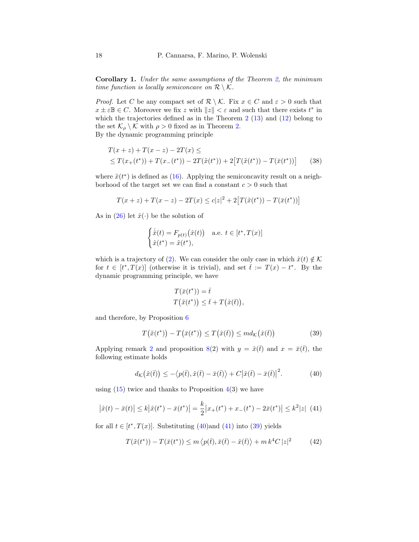Corollary 1. Under the same assumptions of the Theorem 2, the minimum time function is locally semiconcave on  $\mathcal{R} \setminus \mathcal{K}$ .

*Proof.* Let C be any compact set of  $\mathcal{R} \setminus \mathcal{K}$ . Fix  $x \in C$  and  $\varepsilon > 0$  such that  $x \pm \varepsilon \mathbb{B} \in C$ . Moreover we fix z with  $||z|| < \varepsilon$  and such that there exists  $t^*$  in which the trajectories defined as in the Theorem  $2(13)$  and  $(12)$  belong to the set  $\mathcal{K}_{\rho} \setminus \mathcal{K}$  with  $\rho > 0$  fixed as in Theorem 2.

By the dynamic programming principle

$$
T(x+z) + T(x-z) - 2T(x) \le
$$
  
\n
$$
\leq T(x_{+}(t^{*})) + T(x_{-}(t^{*})) - 2T(\tilde{x}(t^{*})) + 2[T(\tilde{x}(t^{*})) - T(\bar{x}(t^{*}))]
$$
\n(38)

where  $\tilde{x}(t^*)$  is defined as (16). Applying the semiconcavity result on a neighborhood of the target set we can find a constant  $c > 0$  such that

$$
T(x+z) + T(x-z) - 2T(x) \leq c|z|^2 + 2[T(\tilde{x}(t^*)) - T(\bar{x}(t^*))]
$$

As in (26) let  $\hat{x}(\cdot)$  be the solution of

$$
\begin{cases} \dot{\hat{x}}(t) = F_{p(t)}(\hat{x}(t)) & \text{a.e. } t \in [t^*, T(x)]\\ \hat{x}(t^*) = \tilde{x}(t^*), \end{cases}
$$

which is a trajectory of (2). We can consider the only case in which  $\hat{x}(t) \notin \mathcal{K}$ for  $t \in [t^*, T(x)]$  (otherwise it is trivial), and set  $\bar{t} := T(x) - t^*$ . By the dynamic programming principle, we have

$$
T(\bar{x}(t^*)) = \bar{t}
$$
  

$$
T(\tilde{x}(t^*)) \leq \bar{t} + T(\hat{x}(\bar{t})),
$$

and therefore, by Proposition 6

$$
T(\tilde{x}(t^*)) - T(\bar{x}(t^*)) \le T(\hat{x}(t)) \le md_{\mathcal{K}}(\hat{x}(t))
$$
\n(39)

Applying remark 2 and proposition 8(2) with  $y = \hat{x}(\bar{t})$  and  $x = \bar{x}(\bar{t})$ , the following estimate holds

$$
d_{\mathcal{K}}(\hat{x}(\bar{t})) \le -\langle p(\bar{t}), \hat{x}(\bar{t}) - \bar{x}(\bar{t}) \rangle + C |\hat{x}(\bar{t}) - \bar{x}(\bar{t})|^2. \tag{40}
$$

using  $(15)$  twice and thanks to Proposition  $4(3)$  we have

$$
\left|\hat{x}(t) - \bar{x}(t)\right| \le k\left|\hat{x}(t^*) - \bar{x}(t^*)\right| = \frac{k}{2}\left|x_+(t^*) + x_-(t^*) - 2\bar{x}(t^*)\right| \le k^2|z| \tag{41}
$$

for all  $t \in [t^*, T(x)]$ . Substituting (40)and (41) into (39) yields

$$
T(\tilde{x}(t^*)) - T(\bar{x}(t^*)) \le m \langle p(\bar{t}), \bar{x}(\bar{t}) - \hat{x}(\bar{t}) \rangle + m k^4 C |z|^2 \tag{42}
$$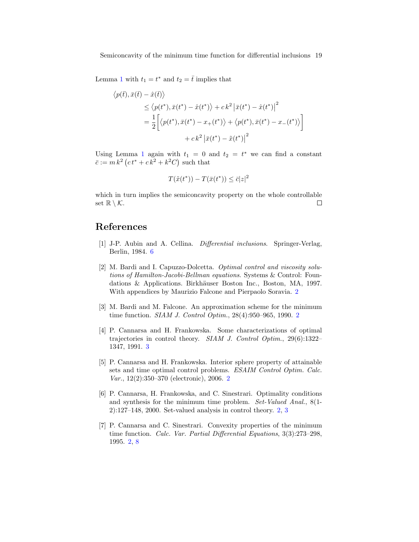Lemma 1 with  $t_1 = t^*$  and  $t_2 = \overline{t}$  implies that

$$
\langle p(\bar{t}), \bar{x}(\bar{t}) - \hat{x}(\bar{t}) \rangle
$$
  
\n
$$
\leq \langle p(t^*), \bar{x}(t^*) - \hat{x}(t^*) \rangle + ck^2 |\bar{x}(t^*) - \hat{x}(t^*)|^2
$$
  
\n
$$
= \frac{1}{2} \Big[ \langle p(t^*), \bar{x}(t^*) - x_+(t^*) \rangle + \langle p(t^*), \bar{x}(t^*) - x_-(t^*) \rangle \Big]
$$
  
\n
$$
+ ck^2 |\bar{x}(t^*) - \tilde{x}(t^*)|^2
$$

Using Lemma 1 again with  $t_1 = 0$  and  $t_2 = t^*$  we can find a constant  $\bar{c} := m k^2 (ct^* + c k^2 + k^2 C)$  such that

$$
T(\tilde{x}(t^*)) - T(\bar{x}(t^*)) \le \bar{c}|z|^2
$$

which in turn implies the semiconcavity property on the whole controllable set  $\mathbb{R} \setminus \mathcal{K}$ .  $\Box$ 

## References

- [1] J-P. Aubin and A. Cellina. Differential inclusions. Springer-Verlag, Berlin, 1984. 6
- [2] M. Bardi and I. Capuzzo-Dolcetta. Optimal control and viscosity solutions of Hamilton-Jacobi-Bellman equations. Systems & Control: Foundations & Applications. Birkhäuser Boston Inc., Boston, MA, 1997. With appendices by Maurizio Falcone and Pierpaolo Soravia. 2
- [3] M. Bardi and M. Falcone. An approximation scheme for the minimum time function. SIAM J. Control Optim., 28(4):950–965, 1990. 2
- [4] P. Cannarsa and H. Frankowska. Some characterizations of optimal trajectories in control theory. SIAM J. Control Optim., 29(6):1322– 1347, 1991. 3
- [5] P. Cannarsa and H. Frankowska. Interior sphere property of attainable sets and time optimal control problems. ESAIM Control Optim. Calc. Var., 12(2):350–370 (electronic), 2006. 2
- [6] P. Cannarsa, H. Frankowska, and C. Sinestrari. Optimality conditions and synthesis for the minimum time problem. Set-Valued Anal., 8(1- 2):127–148, 2000. Set-valued analysis in control theory. 2, 3
- [7] P. Cannarsa and C. Sinestrari. Convexity properties of the minimum time function. Calc. Var. Partial Differential Equations, 3(3):273–298, 1995. 2, 8